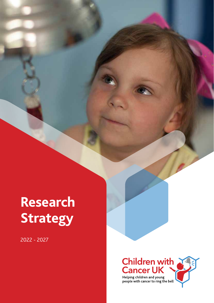# **Research Strategy**

2022 - 2027

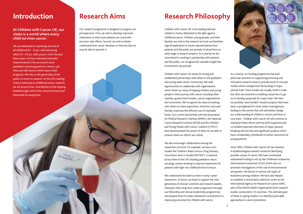# **Research Philosophy**

2

As a charity, our funding programme has paid particular attention to supporting promising and innovative research areas to provide proof of concept studies which complement the funding of major clinical trials. These studies are usually small in scale but often are essential in enabling researchers to go on to develop proposals for major trials. We have successfully 'seed-funded' research projects that have been a springboard for much wider investigations, leading to discoveries that will ultimately change our understanding of children's cancers and how to cure them. Children with Cancer UK will continue to champion these efforts and has both supported and co-funded important elements of major, groundbreaking clinical trials and significant projects which have considerably contributed to better outcomes for young patients.

Since 1995, Children with Cancer UK has invested in epidemiological research aimed at identifying possible causes of cancer. We have contributed substantial funding to set up the Childhood Leukaemia International Consortium (CLIC) which aims to promote investigations of the role of environmental and genetic risk factors in various sub-types of leukaemia among children. We have also helped to establish a central data collection centre at the International Agency for Research on Cancer (IARC, part of the World Health Organization) from research studies conducted in 12 countries. The ultimate goal of these on-going studies is to identify practicable approaches to cancer prevention.



Children with Cancer UK is the leading national children's charity dedicated to the fight against childhood cancer. Children, young people, and their families are vital to the research we fund; we therefore urge all applicants to ensure representatives from patients and the public are actively involved from an early stage in research projects. As a charity we are committed to working in partnership with patients and the public, we recognise the valuable insight this involvement can provide.

Children with Cancer UK values its strong and established partnerships with others in the paediatric and young adult cancer community. We seek opportunities to collaborate with organisations which share our vision of helping children and young people in their journey with cancer including other charities, government funders, cancer organisations and universities. We recognise the value of working with others to share experience, minimise costs and thereby maximise the efficient use of charitable funds. Our current partnership with the Association for Medical Research Charities (AMRC), the National Cancer Research Institute (NCRI) and the Children and Young People with Cancer Coalition (CYPCC) have demonstrated the power of what we are able to achieve when our efforts are united.

We also encourage collaboration among the researchers we fund. For example, we have corefunded the Children's Brain Tumour Drug Delivery Consortium and co-funded INSTINCT, a network across three of the UK's leading paediatric neurooncology centres working to improve treatments for patients with high-risk childhood brain tumours.

We understand the need to invest in early-career researchers. In future, we hope to support the next generation of clinician scientists and research leaders, champion their long-term career progression through our fellowship and clinical studentship programmes and prepare them to make substantial contributions to improving outcomes for children with cancer.

## **Introduction**

#### **At Children with Cancer UK, our vision is a world where every child survives cancer.**

We are dedicated to improving survival of all childhood  $(0 - 14$  yrs. old) and young adult (15 – 24 yrs. old) cancers. Over the past thirty years, we have witnessed dramatic improvements in the survival of some paediatric and young person's cancers, yet there are still cancers which have a fatal prognosis. We rely on the generosity of the public to invest in research. As the UK's leading charity dedicated to childhood cancer research, we are proud of our contribution to the ongoing breakthroughs which have saved and improved thousands of young lives.

# **Research Aims**

Our research programme is designed to progress our principal aims. First, we wish to develop improved treatments so that more patients are cured with less toxic side effects. Second, we wish to better understand how cancer develops so that one day we may be able to prevent it.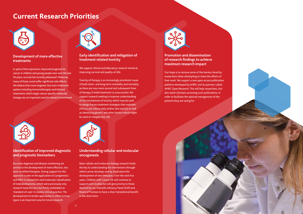# **Current Research Priorities**



#### **Development of more effective treatments**

In spite of the impressive, improved prognosis for cancer in children and young people seen over the last 50 years, survival has recently plateaued. Moreover, many of those cured suffer significant side effects. We believe that more targeted, less toxic treatment options including immunotherapies and tailored treatments which target cancer-specific molecular changes are an important area for research investment.



#### **Identification of improved diagnostic and prognostic biomarkers**

Accurate diagnosis and disease monitoring are central to the development of more effective, less toxic stratified therapies. Strong support for this approach is seen in the application of cytogenetics and MRD in leukaemia's and molecular classification of medulloblastoma, which were previously only research tools but are now firmly embedded as 'standard-of-care' in routine clinical practice. The development of similar approaches in other tumour types is an important area for future research.



#### **Early identification and mitigation of treatment related toxicity**

We support clinical and laboratory research aimed at improving survival and quality-of-life.

Toxicity of therapy is an increasingly prominent cause of both short- and long-term morbidity and mortality as there are now more second and subsequent lines of therapy if initial treatment is unsuccessful. We support research seeking to improve understanding of the mechanisms of toxicity which may be used to design future treatment strategies that maintain efficacy yet reduce early and/or late toxicity as well as identifying genetic and other factors which might be used to mitigate this risk.



**Understanding cellular and molecular oncogenesis**

Basic cellular and molecular biology research holds the key to understanding the mechanisms through which cancer develops and by implication the development of new therapies. Over the next five years, Children with Cancer UK will continue to support such studies but will give priority to those deemed by our Scientific Advisory Panel (SAP) and Board of Trustees to have a clear translational benefit in the short term.



#### **Promotion and dissemination of research findings to achieve maximum research impact**

Our hope is to remove some of the barriers faced by researchers when attempting to share the efforts of their work. We support a new open access publication platform developed by AMRC and its partners called AMRC Open Research. This will help researchers, but also assist clinicians accessing such publications, in order to facilitate the optimal management of the patients they are caring for.

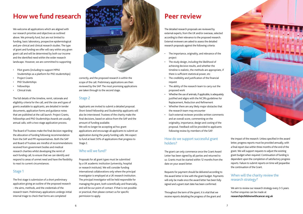# **Peer review**

The detailed research proposals are reviewed by external experts, from the UK and/or overseas, selected according to their relevance to the proposed research. External reviewers are asked to assess the detailed research proposals against the following criteria:

- The importance, originality, and relevance of the project
- The study design, including the likelihood of achieving decisive results, and whether the timeline is realistic, the methods are appropriate, if there is sufficient statistical power, etc
- • The credibility and justification of the financial request
- The ability of the research team to carry out the proposed work
- Whether the use of animals, if applicable, is adequately justified and aligns with the NC3Rs guidelines for Replacement, Reduction and Refinement
- Whether there are any likely major obstacles that the research team may encounter
- Each external reviewer provides written comments and an overall score, commenting on the originality, importance, design and costing of the proposal. Feedback will be provided to applicants following review by members of the SAP.

#### How do we support successful grant holders?

The grant can only commence once the Grant Award Letter has been signed by all parties and returned to us. Grants must be started within 12 months from the date on your award letter.

- • Pilot grants (including to support MPhil Studentships as a platform for PhD studentships)
- Project Grants
- PhD Studentships
- **Fellowships**
- Clinical trials

Requests for payment should be delivered according to the award letter in line with the grant budget. Payments will only be made once the award letter has been fully signed and a grant start date has been confirmed.

Throughout the term of the grant, it is vital that we receive reports detailing the progress of the grant and



the impact of the research. Unless specified in the award letter, progress reports must be provided annually, with a final report due within three months of the end of the grant. We will support requests to adjust the existing grant budget when required. Continuation of funding is dependent upon the completion of satisfactory progress reports. Failure to submit reports on time will jeopardise the continuation of the Grant.

#### When will the charity review the research strategy?

We aim to review our research strategy every 3-5 years. Further enquiries can be made at **research@childrenwithcancer.org.uk**

# **How we fund research**

We welcome all applications which are aligned with our research priorities and objectives as outlined above. We primarily fund, but are not limited to funding, basic laboratory, prospective epidemiological and pre-clinical and clinical research studies. The type of grant and funding we offer will vary within any given grant call and will be determined by both our income and the identified need within the wider research landscape. However, we are committed to supporting:

The full details of the timeline, remit, rationale and eligibility criteria for the call, and the size and types of grants available to applicants, are detailed in tender documents, application forms and guidance notes that are published at the call launch. Project Grants, Fellowships and PhD Studentships Awards are usually annual calls, with a two-stage application process.

The Board of Trustees make the final decision regarding the allocation of funding following recommendation from the SAP and PPI representatives. Both the SAP and Board of Trustees are mindful of recommendations received from government bodies and medical research charities whilst developing the remit of each funding call, to ensure that we can identify and respond to areas of unmet need and have the flexibility to react to current circumstances.

#### Stage 1

The first stage is submission of a short preliminary application giving an outline of the proposed research – the aims, methods, and the credentials of the research team. Preliminary applications undergo initial internal triage to check that forms are completed



correctly, and the proposed research is within the scope of the call. Preliminary applications are then reviewed by the SAP. The most promising applications are taken through to the second stage.

#### Stage 2

Applicants are invited to submit a detailed proposal. Short-listed Fellowship and Studentship applicants will also be interviewed. Trustees of the charity make the final decisions, based on advice from the SAP and the amount of funding available.

We will no longer be accepting ad hoc grant applications and encourage all applicants to submit an application during the yearly funding calls. We expect to fund at least 50% of applications that progress to Stage 2.

#### Who will we fund?

Proposals for all grant types must be submitted by a UK academic institution (university, hospital or research institute). We will consider funding international collaborations only where the principal investigator is employed at a UK research institution. The principal investigator will be held responsible for managing the grant, both scientifically and financially, and will be our point of contact. If that is not possible or practical, then please contact us for specific permission to apply.